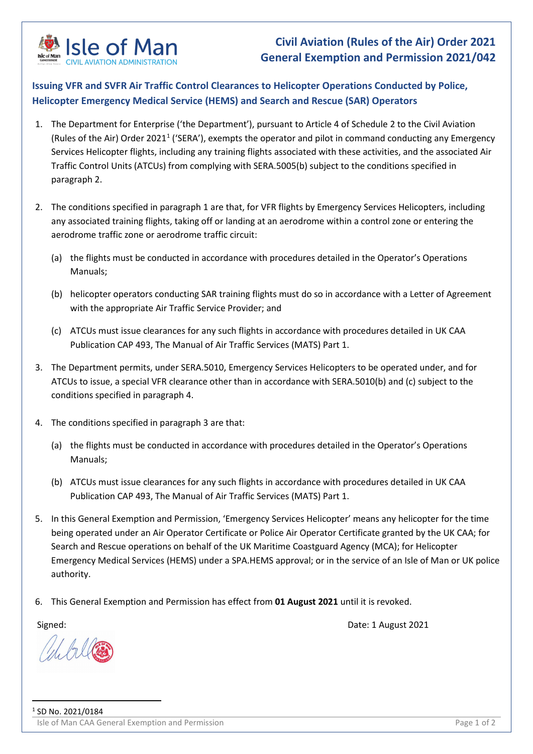

## **Civil Aviation (Rules of the Air) Order 2021 General Exemption and Permission 2021/042**

## **Issuing VFR and SVFR Air Traffic Control Clearances to Helicopter Operations Conducted by Police, Helicopter Emergency Medical Service (HEMS) and Search and Rescue (SAR) Operators**

- 1. The Department for Enterprise ('the Department'), pursuant to Article 4 of Schedule 2 to the Civil Aviation (Rules of the Air) Order 202[1](#page-0-0)<sup>1</sup> ('SERA'), exempts the operator and pilot in command conducting any Emergency Services Helicopter flights, including any training flights associated with these activities, and the associated Air Traffic Control Units (ATCUs) from complying with SERA.5005(b) subject to the conditions specified in paragraph 2.
- 2. The conditions specified in paragraph 1 are that, for VFR flights by Emergency Services Helicopters, including any associated training flights, taking off or landing at an aerodrome within a control zone or entering the aerodrome traffic zone or aerodrome traffic circuit:
	- (a) the flights must be conducted in accordance with procedures detailed in the Operator's Operations Manuals;
	- (b) helicopter operators conducting SAR training flights must do so in accordance with a Letter of Agreement with the appropriate Air Traffic Service Provider; and
	- (c) ATCUs must issue clearances for any such flights in accordance with procedures detailed in UK CAA Publication CAP 493, The Manual of Air Traffic Services (MATS) Part 1.
- 3. The Department permits, under SERA.5010, Emergency Services Helicopters to be operated under, and for ATCUs to issue, a special VFR clearance other than in accordance with SERA.5010(b) and (c) subject to the conditions specified in paragraph 4.
- 4. The conditions specified in paragraph 3 are that:
	- (a) the flights must be conducted in accordance with procedures detailed in the Operator's Operations Manuals;
	- (b) ATCUs must issue clearances for any such flights in accordance with procedures detailed in UK CAA Publication CAP 493, The Manual of Air Traffic Services (MATS) Part 1.
- 5. In this General Exemption and Permission, 'Emergency Services Helicopter' means any helicopter for the time being operated under an Air Operator Certificate or Police Air Operator Certificate granted by the UK CAA; for Search and Rescue operations on behalf of the UK Maritime Coastguard Agency (MCA); for Helicopter Emergency Medical Services (HEMS) under a SPA.HEMS approval; or in the service of an Isle of Man or UK police authority.
- 6. This General Exemption and Permission has effect from **01 August 2021** until it is revoked.

<span id="page-0-0"></span>

Signed: Date: 1 August 2021